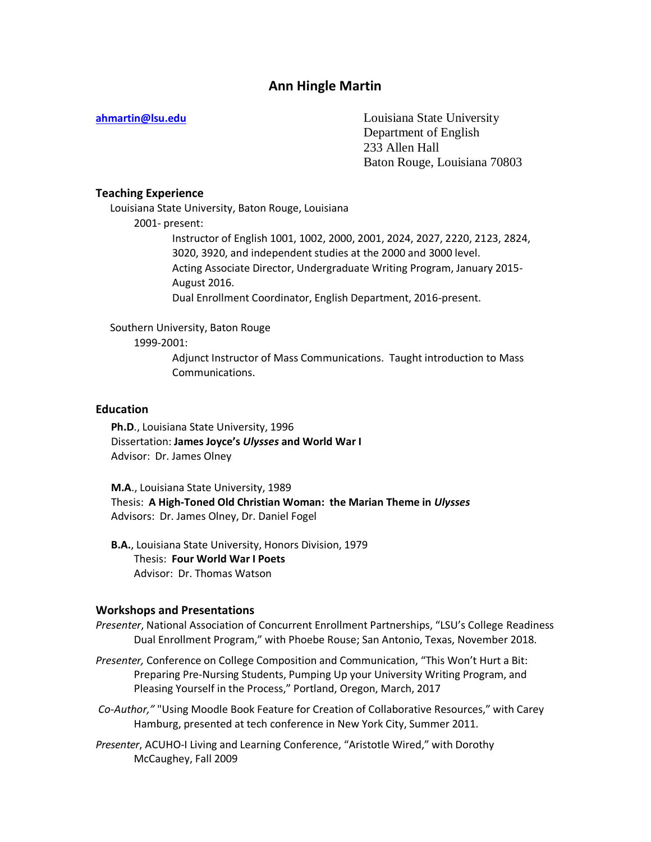# **Ann Hingle Martin**

**[ahmartin@lsu.edu](mailto:ahmartin@lsu.edu)** Louisiana State University Department of English 233 Allen Hall Baton Rouge, Louisiana 70803

## **Teaching Experience**

Louisiana State University, Baton Rouge, Louisiana 2001- present: Instructor of English 1001, 1002, 2000, 2001, 2024, 2027, 2220, 2123, 2824, 3020, 3920, and independent studies at the 2000 and 3000 level. Acting Associate Director, Undergraduate Writing Program, January 2015- August 2016.

Dual Enrollment Coordinator, English Department, 2016-present.

Southern University, Baton Rouge

1999-2001:

Adjunct Instructor of Mass Communications. Taught introduction to Mass Communications.

### **Education**

**Ph.D**., Louisiana State University, 1996 Dissertation: **James Joyce's** *Ulysses* **and World War I** Advisor: Dr. James Olney

**M.A**., Louisiana State University, 1989 Thesis: **A High-Toned Old Christian Woman: the Marian Theme in** *Ulysses* Advisors: Dr. James Olney, Dr. Daniel Fogel

**B.A.**, Louisiana State University, Honors Division, 1979 Thesis: **Four World War I Poets** Advisor: Dr. Thomas Watson

#### **Workshops and Presentations**

*Presenter*, National Association of Concurrent Enrollment Partnerships, "LSU's College Readiness Dual Enrollment Program," with Phoebe Rouse; San Antonio, Texas, November 2018.

*Presenter,* Conference on College Composition and Communication, "This Won't Hurt a Bit: Preparing Pre-Nursing Students, Pumping Up your University Writing Program, and Pleasing Yourself in the Process," Portland, Oregon, March, 2017

*Co-Author,"* "Using Moodle Book Feature for Creation of Collaborative Resources," with Carey Hamburg, presented at tech conference in New York City, Summer 2011.

*Presenter*, ACUHO-I Living and Learning Conference, "Aristotle Wired," with Dorothy McCaughey, Fall 2009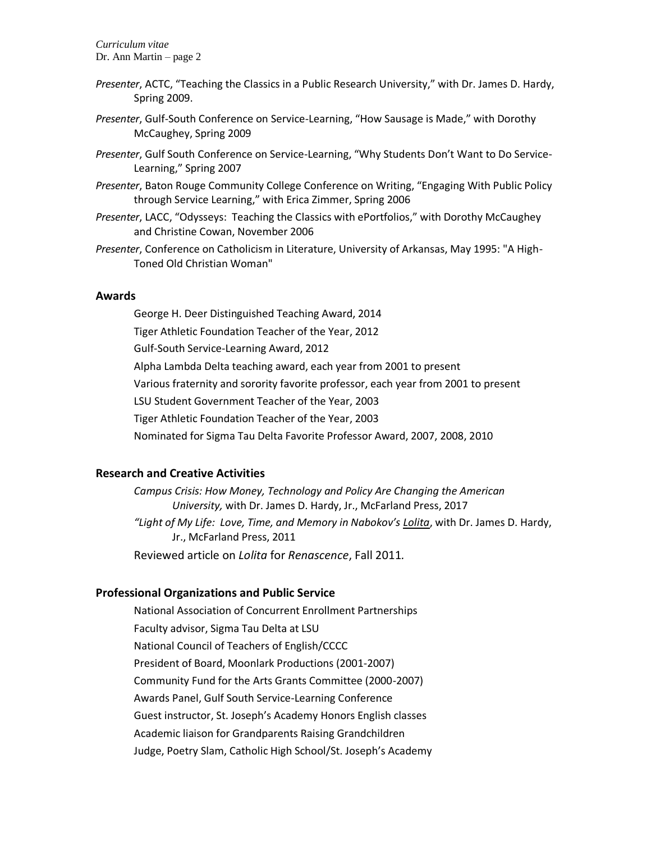*Curriculum vitae* Dr. Ann Martin – page 2

- *Presenter*, ACTC, "Teaching the Classics in a Public Research University," with Dr. James D. Hardy, Spring 2009.
- *Presenter*, Gulf-South Conference on Service-Learning, "How Sausage is Made," with Dorothy McCaughey, Spring 2009
- *Presenter*, Gulf South Conference on Service-Learning, "Why Students Don't Want to Do Service-Learning," Spring 2007
- *Presenter*, Baton Rouge Community College Conference on Writing, "Engaging With Public Policy through Service Learning," with Erica Zimmer, Spring 2006
- *Presenter*, LACC, "Odysseys: Teaching the Classics with ePortfolios," with Dorothy McCaughey and Christine Cowan, November 2006
- *Presenter*, Conference on Catholicism in Literature, University of Arkansas, May 1995: "A High-Toned Old Christian Woman"

#### **Awards**

George H. Deer Distinguished Teaching Award, 2014 Tiger Athletic Foundation Teacher of the Year, 2012 Gulf-South Service-Learning Award, 2012 Alpha Lambda Delta teaching award, each year from 2001 to present Various fraternity and sorority favorite professor, each year from 2001 to present LSU Student Government Teacher of the Year, 2003 Tiger Athletic Foundation Teacher of the Year, 2003 Nominated for Sigma Tau Delta Favorite Professor Award, 2007, 2008, 2010

# **Research and Creative Activities**

*Campus Crisis: How Money, Technology and Policy Are Changing the American University,* with Dr. James D. Hardy, Jr., McFarland Press, 2017 *"Light of My Life: Love, Time, and Memory in Nabokov's Lolita*, with Dr. James D. Hardy, Jr., McFarland Press, 2011 Reviewed article on *Lolita* for *Renascence*, Fall 2011*.*

# **Professional Organizations and Public Service**

National Association of Concurrent Enrollment Partnerships Faculty advisor, Sigma Tau Delta at LSU National Council of Teachers of English/CCCC President of Board, Moonlark Productions (2001-2007) Community Fund for the Arts Grants Committee (2000-2007) Awards Panel, Gulf South Service-Learning Conference Guest instructor, St. Joseph's Academy Honors English classes Academic liaison for Grandparents Raising Grandchildren Judge, Poetry Slam, Catholic High School/St. Joseph's Academy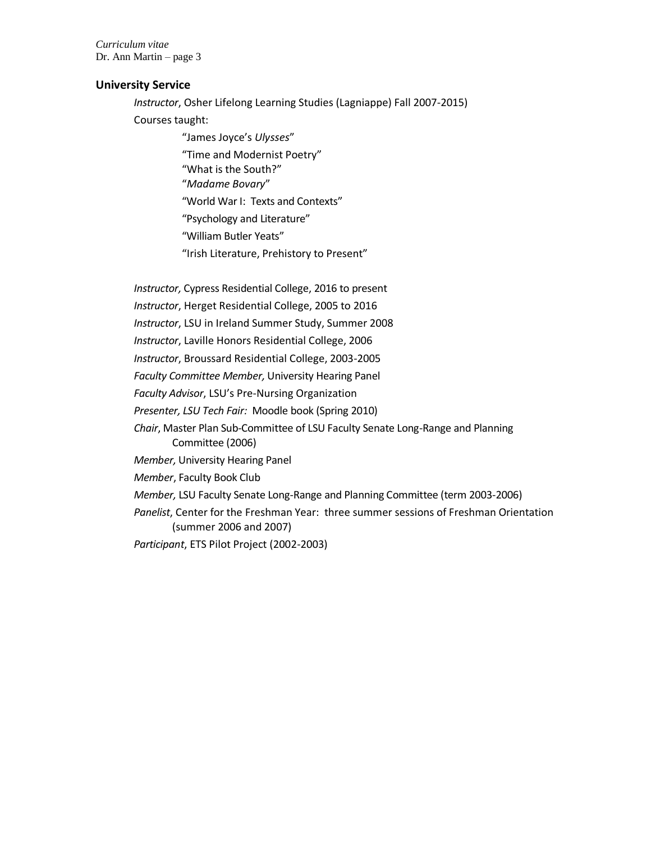*Curriculum vitae* Dr. Ann Martin – page 3

### **University Service**

*Instructor*, Osher Lifelong Learning Studies (Lagniappe) Fall 2007-2015) Courses taught:

> "James Joyce's *Ulysses*" "Time and Modernist Poetry" "What is the South?" "*Madame Bovary*" "World War I: Texts and Contexts" "Psychology and Literature" "William Butler Yeats"

"Irish Literature, Prehistory to Present"

*Instructor,* Cypress Residential College, 2016 to present *Instructor*, Herget Residential College, 2005 to 2016 *Instructor*, LSU in Ireland Summer Study, Summer 2008 *Instructor*, Laville Honors Residential College, 2006 *Instructor*, Broussard Residential College, 2003-2005 *Faculty Committee Member,* University Hearing Panel *Faculty Advisor*, LSU's Pre-Nursing Organization *Presenter, LSU Tech Fair:* Moodle book (Spring 2010) *Chair*, Master Plan Sub-Committee of LSU Faculty Senate Long-Range and Planning Committee (2006) *Member,* University Hearing Panel *Member*, Faculty Book Club *Member,* LSU Faculty Senate Long-Range and Planning Committee (term 2003-2006) *Panelist*, Center for the Freshman Year: three summer sessions of Freshman Orientation (summer 2006 and 2007) *Participant*, ETS Pilot Project (2002-2003)